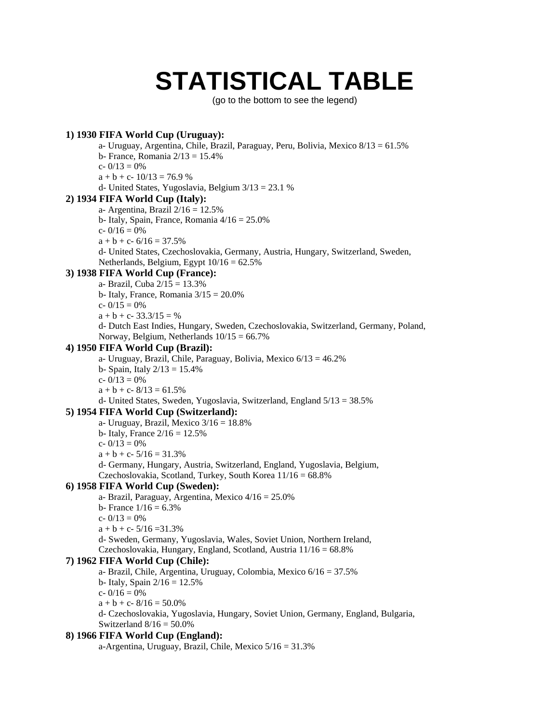# **STATISTICAL TABLE**

(go to the bottom to see the legend)

## **1) 1930 FIFA World Cup (Uruguay):**

a- Uruguay, Argentina, Chile, Brazil, Paraguay, Peru, Bolivia, Mexico 8/13 = 61.5%

b- France, Romania  $2/13 = 15.4\%$ 

c-  $0/13 = 0%$ 

 $a + b + c - 10/13 = 76.9 %$ 

d- United States, Yugoslavia, Belgium 3/13 = 23.1 %

#### **2) 1934 FIFA World Cup (Italy):**

a- Argentina, Brazil  $2/16 = 12.5\%$ 

b- Italy, Spain, France, Romania 4/16 = 25.0%

- c-  $0/16 = 0%$
- $a + b + c 6/16 = 37.5%$

d- United States, Czechoslovakia, Germany, Austria, Hungary, Switzerland, Sweden, Netherlands, Belgium, Egypt  $10/16 = 62.5\%$ 

## **3) 1938 FIFA World Cup (France):**

a- Brazil, Cuba 2/15 = 13.3%

b- Italy, France, Romania  $3/15 = 20.0\%$ 

c-  $0/15 = 0%$ 

 $a + b + c - 33.3/15 = \%$ 

d- Dutch East Indies, Hungary, Sweden, Czechoslovakia, Switzerland, Germany, Poland, Norway, Belgium, Netherlands  $10/15 = 66.7\%$ 

#### **4) 1950 FIFA World Cup (Brazil):**

a- Uruguay, Brazil, Chile, Paraguay, Bolivia, Mexico 6/13 = 46.2%

b- Spain, Italy  $2/13 = 15.4\%$ 

c-  $0/13 = 0%$ 

 $a + b + c - 8/13 = 61.5%$ 

d- United States, Sweden, Yugoslavia, Switzerland, England 5/13 = 38.5%

## **5) 1954 FIFA World Cup (Switzerland):**

a- Uruguay, Brazil, Mexico  $3/16 = 18.8\%$ 

b- Italy, France  $2/16 = 12.5%$ 

c-  $0/13 = 0%$ 

 $a + b + c - 5/16 = 31.3%$ 

d- Germany, Hungary, Austria, Switzerland, England, Yugoslavia, Belgium, Czechoslovakia, Scotland, Turkey, South Korea 11/16 = 68.8%

## **6) 1958 FIFA World Cup (Sweden):**

- a- Brazil, Paraguay, Argentina, Mexico 4/16 = 25.0%
- b- France  $1/16 = 6.3\%$
- c-  $0/13 = 0%$

 $a + b + c - 5/16 = 31.3%$ 

d- Sweden, Germany, Yugoslavia, Wales, Soviet Union, Northern Ireland, Czechoslovakia, Hungary, England, Scotland, Austria 11/16 = 68.8%

#### **7) 1962 FIFA World Cup (Chile):**

a- Brazil, Chile, Argentina, Uruguay, Colombia, Mexico 6/16 = 37.5% b- Italy, Spain  $2/16 = 12.5%$ 

c-  $0/16 = 0%$ 

 $a + b + c - 8/16 = 50.0\%$ 

d- Czechoslovakia, Yugoslavia, Hungary, Soviet Union, Germany, England, Bulgaria, Switzerland  $8/16 = 50.0\%$ 

## **8) 1966 FIFA World Cup (England):**

a-Argentina, Uruguay, Brazil, Chile, Mexico 5/16 = 31.3%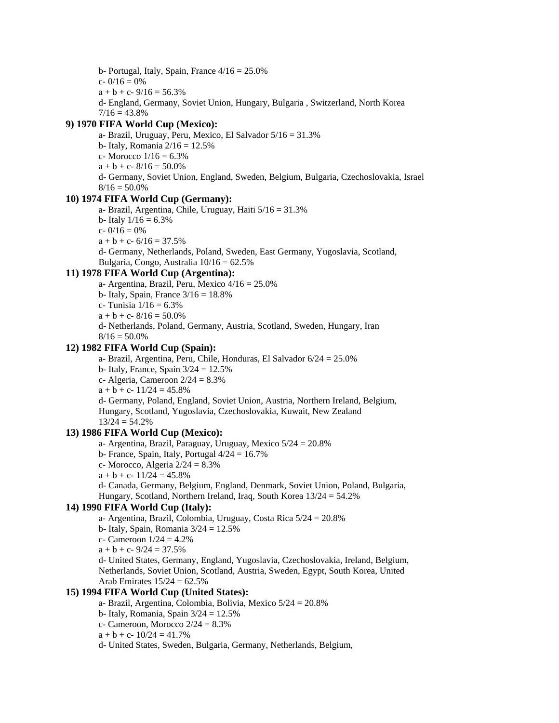- b- Portugal, Italy, Spain, France  $4/16 = 25.0\%$
- c-  $0/16 = 0%$
- $a + b + c 9/16 = 56.3%$
- d- England, Germany, Soviet Union, Hungary, Bulgaria , Switzerland, North Korea  $7/16 = 43.8\%$

## **9) 1970 FIFA World Cup (Mexico):**

a- Brazil, Uruguay, Peru, Mexico, El Salvador 5/16 = 31.3% b- Italy, Romania 2/16 = 12.5% c- Morocco  $1/16 = 6.3\%$  $a + b + c - 8/16 = 50.0\%$ d- Germany, Soviet Union, England, Sweden, Belgium, Bulgaria, Czechoslovakia, Israel  $8/16 = 50.0\%$ 

## **10) 1974 FIFA World Cup (Germany):**

- a- Brazil, Argentina, Chile, Uruguay, Haiti 5/16 = 31.3%
- b- Italy  $1/16 = 6.3\%$
- c-  $0/16 = 0%$
- $a + b + c 6/16 = 37.5%$

d- Germany, Netherlands, Poland, Sweden, East Germany, Yugoslavia, Scotland, Bulgaria, Congo, Australia  $10/16 = 62.5\%$ 

### **11) 1978 FIFA World Cup (Argentina):**

- a- Argentina, Brazil, Peru, Mexico  $4/16 = 25.0\%$
- b- Italy, Spain, France  $3/16 = 18.8\%$
- c- Tunisia  $1/16 = 6.3\%$
- $a + b + c 8/16 = 50.0\%$
- d- Netherlands, Poland, Germany, Austria, Scotland, Sweden, Hungary, Iran  $8/16 = 50.0\%$

#### **12) 1982 FIFA World Cup (Spain):**

a- Brazil, Argentina, Peru, Chile, Honduras, El Salvador 6/24 = 25.0%

b- Italy, France, Spain  $3/24 = 12.5%$ 

c- Algeria, Cameroon  $2/24 = 8.3\%$ 

 $a + b + c - 11/24 = 45.8\%$ 

d- Germany, Poland, England, Soviet Union, Austria, Northern Ireland, Belgium, Hungary, Scotland, Yugoslavia, Czechoslovakia, Kuwait, New Zealand  $13/24 = 54.2%$ 

#### **13) 1986 FIFA World Cup (Mexico):**

a- Argentina, Brazil, Paraguay, Uruguay, Mexico 5/24 = 20.8%

- b- France, Spain, Italy, Portugal  $4/24 = 16.7\%$
- c- Morocco, Algeria  $2/24 = 8.3\%$
- $a + b + c 11/24 = 45.8%$
- d- Canada, Germany, Belgium, England, Denmark, Soviet Union, Poland, Bulgaria, Hungary, Scotland, Northern Ireland, Iraq, South Korea 13/24 = 54.2%

## **14) 1990 FIFA World Cup (Italy):**

- a- Argentina, Brazil, Colombia, Uruguay, Costa Rica 5/24 = 20.8%
- b- Italy, Spain, Romania  $3/24 = 12.5\%$
- c- Cameroon  $1/24 = 4.2\%$

 $a + b + c - 9/24 = 37.5%$ 

d- United States, Germany, England, Yugoslavia, Czechoslovakia, Ireland, Belgium, Netherlands, Soviet Union, Scotland, Austria, Sweden, Egypt, South Korea, United Arab Emirates  $15/24 = 62.5\%$ 

## **15) 1994 FIFA World Cup (United States):**

- a- Brazil, Argentina, Colombia, Bolivia, Mexico 5/24 = 20.8%
- b- Italy, Romania, Spain  $3/24 = 12.5\%$
- c- Cameroon, Morocco  $2/24 = 8.3\%$
- $a + b + c 10/24 = 41.7%$
- d- United States, Sweden, Bulgaria, Germany, Netherlands, Belgium,